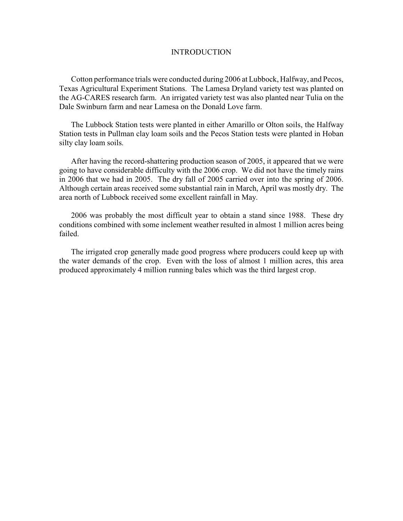## INTRODUCTION

Cotton performance trials were conducted during 2006 at Lubbock, Halfway, and Pecos, Texas Agricultural Experiment Stations. The Lamesa Dryland variety test was planted on the AG-CARES research farm. An irrigated variety test was also planted near Tulia on the Dale Swinburn farm and near Lamesa on the Donald Love farm.

The Lubbock Station tests were planted in either Amarillo or Olton soils, the Halfway Station tests in Pullman clay loam soils and the Pecos Station tests were planted in Hoban silty clay loam soils.

After having the record-shattering production season of 2005, it appeared that we were going to have considerable difficulty with the 2006 crop. We did not have the timely rains in 2006 that we had in 2005. The dry fall of 2005 carried over into the spring of 2006. Although certain areas received some substantial rain in March, April was mostly dry. The area north of Lubbock received some excellent rainfall in May.

2006 was probably the most difficult year to obtain a stand since 1988. These dry conditions combined with some inclement weather resulted in almost 1 million acres being failed.

The irrigated crop generally made good progress where producers could keep up with the water demands of the crop. Even with the loss of almost 1 million acres, this area produced approximately 4 million running bales which was the third largest crop.